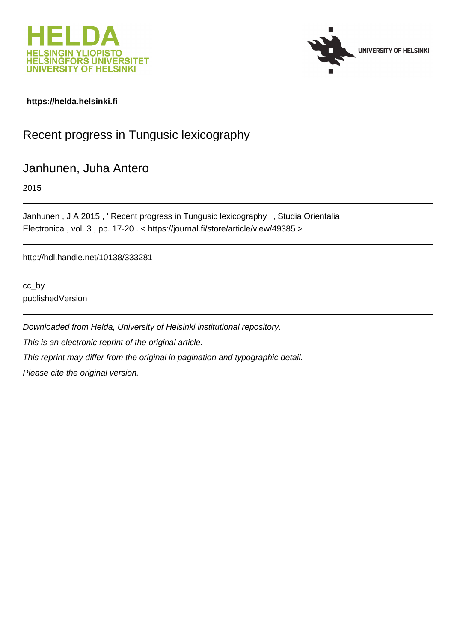



#### **https://helda.helsinki.fi**

# Recent progress in Tungusic lexicography

### Janhunen, Juha Antero

2015

Janhunen , J A 2015 , ' Recent progress in Tungusic lexicography ' , Studia Orientalia Electronica , vol. 3 , pp. 17-20 . < https://journal.fi/store/article/view/49385 >

http://hdl.handle.net/10138/333281

cc\_by publishedVersion

Downloaded from Helda, University of Helsinki institutional repository. This is an electronic reprint of the original article. This reprint may differ from the original in pagination and typographic detail. Please cite the original version.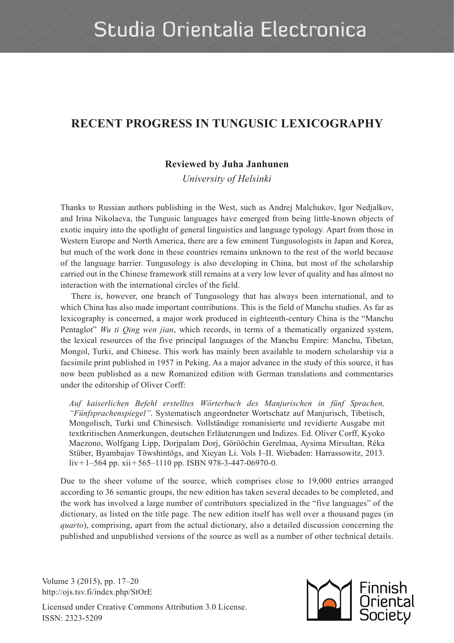## **RECENT PROGRESS IN TUNGUSIC LEXICOGRAPHY**

#### **Reviewed by Juha Janhunen**

*University of Helsinki*

Thanks to Russian authors publishing in the West, such as Andrej Malchukov, Igor Nedjalkov, and Irina Nikolaeva, the Tungusic languages have emerged from being little-known objects of exotic inquiry into the spotlight of general linguistics and language typology. Apart from those in Western Europe and North America, there are a few eminent Tungusologists in Japan and Korea, but much of the work done in these countries remains unknown to the rest of the world because of the language barrier. Tungusology is also developing in China, but most of the scholarship carried out in the Chinese framework still remains at a very low lever of quality and has almost no interaction with the international circles of the field.

There is, however, one branch of Tungusology that has always been international, and to which China has also made important contributions. This is the field of Manchu studies. As far as lexicography is concerned, a major work produced in eighteenth-century China is the "Manchu Pentaglot" *Wu ti Qing wen jian*, which records, in terms of a thematically organized system, the lexical resources of the five principal languages of the Manchu Empire: Manchu, Tibetan, Mongol, Turki, and Chinese. This work has mainly been available to modern scholarship via a facsimile print published in 1957 in Peking. As a major advance in the study of this source, it has now been published as a new Romanized edition with German translations and commentaries under the editorship of Oliver Corff:

*Auf kaiserlichen Befehl erstelltes Wörterbuch des Manjurischen in fünf Sprachen, "Fünfsprachenspiegel"*. Systematisch angeordneter Wortschatz auf Manjurisch, Tibetisch, Mongolisch, Turki und Chinesisch. Vollständige romanisierte und revidierte Ausgabe mit textkritischen Anmerkungen, deutschen Erläuterungen und Indizes. Ed. Oliver Corff, Kyoko Maezono, Wolfgang Lipp, Dorjpalam Dorj, Görööchin Gerelmaa, Aysima Mirsultan, Réka Stüber, Byambajav Töwshintögs, and Xieyan Li. Vols I–II. Wiebaden: Harrassowitz, 2013. liv + 1–564 pp. xii + 565–1110 pp. ISBN 978-3-447-06970-0.

Due to the sheer volume of the source, which comprises close to 19,000 entries arranged according to 36 semantic groups, the new edition has taken several decades to be completed, and the work has involved a large number of contributors specialized in the "five languages" of the dictionary, as listed on the title page. The new edition itself has well over a thousand pages (in *quarto*), comprising, apart from the actual dictionary, also a detailed discussion concerning the published and unpublished versions of the source as well as a number of other technical details.

Volume 3 (2015), pp. 17–20 http://ojs.tsv.fi/index.php/StOrE

Licensed under Creative Commons Attribution 3.0 License. ISSN: 2323-5209

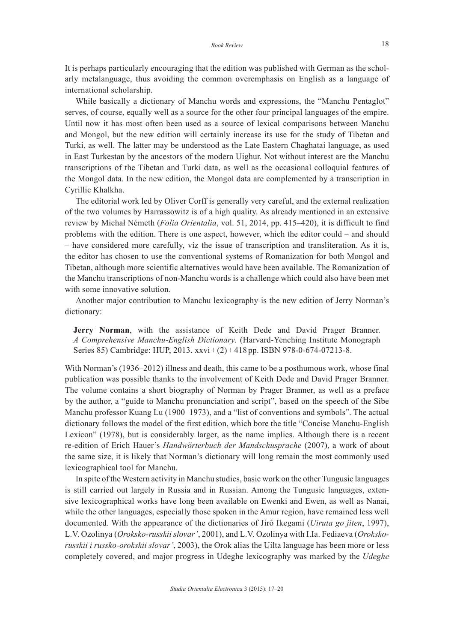It is perhaps particularly encouraging that the edition was published with German as the scholarly metalanguage, thus avoiding the common overemphasis on English as a language of international scholarship.

While basically a dictionary of Manchu words and expressions, the "Manchu Pentaglot" serves, of course, equally well as a source for the other four principal languages of the empire. Until now it has most often been used as a source of lexical comparisons between Manchu and Mongol, but the new edition will certainly increase its use for the study of Tibetan and Turki, as well. The latter may be understood as the Late Eastern Chaghatai language, as used in East Turkestan by the ancestors of the modern Uighur. Not without interest are the Manchu transcriptions of the Tibetan and Turki data, as well as the occasional colloquial features of the Mongol data. In the new edition, the Mongol data are complemented by a transcription in Cyrillic Khalkha.

The editorial work led by Oliver Corff is generally very careful, and the external realization of the two volumes by Harrassowitz is of a high quality. As already mentioned in an extensive review by Michał Németh (*Folia Orientalia*, vol. 51, 2014, pp. 415–420), it is difficult to find problems with the edition. There is one aspect, however, which the editor could – and should – have considered more carefully, viz the issue of transcription and transliteration. As it is, the editor has chosen to use the conventional systems of Romanization for both Mongol and Tibetan, although more scientific alternatives would have been available. The Romanization of the Manchu transcriptions of non-Manchu words is a challenge which could also have been met with some innovative solution.

Another major contribution to Manchu lexicography is the new edition of Jerry Norman's dictionary:

**Jerry Norman**, with the assistance of Keith Dede and David Prager Branner. *A Comprehensive Manchu-English Dictionary*. (Harvard-Yenching Institute Monograph Series 85) Cambridge: HUP, 2013. xxvi + (2) + 418 pp. ISBN 978-0-674-07213-8.

With Norman's (1936–2012) illness and death, this came to be a posthumous work, whose final publication was possible thanks to the involvement of Keith Dede and David Prager Branner. The volume contains a short biography of Norman by Prager Branner, as well as a preface by the author, a "guide to Manchu pronunciation and script", based on the speech of the Sibe Manchu professor Kuang Lu (1900–1973), and a "list of conventions and symbols". The actual dictionary follows the model of the first edition, which bore the title "Concise Manchu-English Lexicon" (1978), but is considerably larger, as the name implies. Although there is a recent re-edition of Erich Hauer's *Handwörterbuch der Mandschusprache* (2007), a work of about the same size, it is likely that Norman's dictionary will long remain the most commonly used lexicographical tool for Manchu.

In spite of the Western activity in Manchu studies, basic work on the other Tungusic languages is still carried out largely in Russia and in Russian. Among the Tungusic languages, extensive lexicographical works have long been available on Ewenki and Ewen, as well as Nanai, while the other languages, especially those spoken in the Amur region, have remained less well documented. With the appearance of the dictionaries of Jirô Ikegami (*Uiruta go jiten*, 1997), L.V. Ozolinya (*Oroksko-russkii slovar'*, 2001), and L.V. Ozolinya with I.Ia. Fediaeva (*Orokskorusskii i russko-orokskii slovar'*, 2003), the Orok alias the Uilta language has been more or less completely covered, and major progress in Udeghe lexicography was marked by the *Udeghe*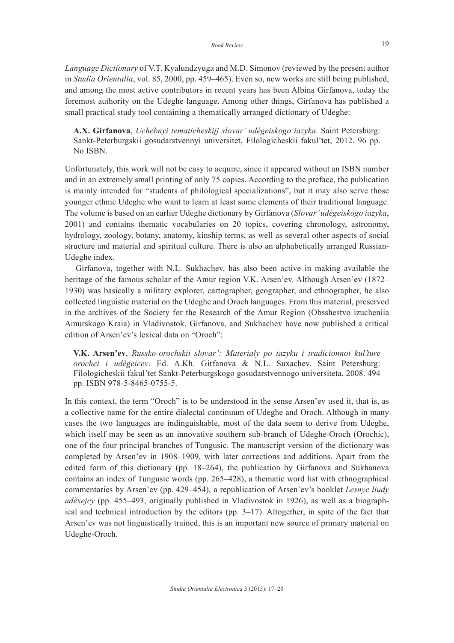*Language Dictionary* of V.T. Kyalundzyuga and M.D. Simonov (reviewed by the present author in *Studia Orientalia*, vol. 85, 2000, pp. 459–465). Even so, new works are still being published, and among the most active contributors in recent years has been Albina Girfanova, today the foremost authority on the Udeghe language. Among other things, Girfanova has published a small practical study tool containing a thematically arranged dictionary of Udeghe:

**A.X. Girfanova**, *Uchebnyi tematicheskijj slovar' udègeiskogo iazyka*. Saint Petersburg: Sankt-Peterburgskii gosudarstvennyi universitet, Filologicheskii fakul'tet, 2012. 96 pp. No ISBN.

Unfortunately, this work will not be easy to acquire, since it appeared without an ISBN number and in an extremely small printing of only 75 copies. According to the preface, the publication is mainly intended for "students of philological specializations", but it may also serve those younger ethnic Udeghe who want to learn at least some elements of their traditional language. The volume is based on an earlier Udeghe dictionary by Girfanova (*Slovar' udègeiskogo iazyka*, 2001) and contains thematic vocabularies on 20 topics, covering chronology, astronomy, hydrology, zoology, botany, anatomy, kinship terms, as well as several other aspects of social structure and material and spiritual culture. There is also an alphabetically arranged Russian-Udeghe index.

Girfanova, together with N.L. Sukhachev, has also been active in making available the heritage of the famous scholar of the Amur region V.K. Arsen'ev. Although Arsen'ev (1872– 1930) was basically a military explorer, cartographer, geographer, and ethnographer, he also collected linguistic material on the Udeghe and Oroch languages. From this material, preserved in the archives of the Society for the Research of the Amur Region (Obsshestvo izucheniia Amurskogo Kraia) in Vladivostok, Girfanova, and Sukhachev have now published a critical edition of Arsen'ev's lexical data on "Oroch":

**V.K. Arsen'ev**, *Russko-orochskii slovar': Materialy po iazyku i tradicionnoi kul'ture orochei i udègeicev*. Ed. A.Kh. Girfanova & N.L. Suxachev. Saint Petersburg: Filologicheskii fakul'tet Sankt-Peterburgskogo gosudarstvennogo universiteta, 2008. 494 pp. ISBN 978-5-8465-0755-5.

In this context, the term "Oroch" is to be understood in the sense Arsen'ev used it, that is, as a collective name for the entire dialectal continuum of Udeghe and Oroch. Although in many cases the two languages are indinguishable, most of the data seem to derive from Udeghe, which itself may be seen as an innovative southern sub-branch of Udeghe-Oroch (Orochic), one of the four principal branches of Tungusic. The manuscript version of the dictionary was completed by Arsen'ev in 1908–1909, with later corrections and additions. Apart from the edited form of this dictionary (pp. 18–264), the publication by Girfanova and Sukhanova contains an index of Tungusic words (pp. 265–428), a thematic word list with ethnographical commentaries by Arsen'ev (pp. 429–454), a republication of Arsen'ev's booklet *Lesnye liudy udèxejcy* (pp. 455–493, originally published in Vladivostok in 1926), as well as a biographical and technical introduction by the editors (pp.  $3-17$ ). Altogether, in spite of the fact that Arsen'ev was not linguistically trained, this is an important new source of primary material on Udeghe-Oroch.